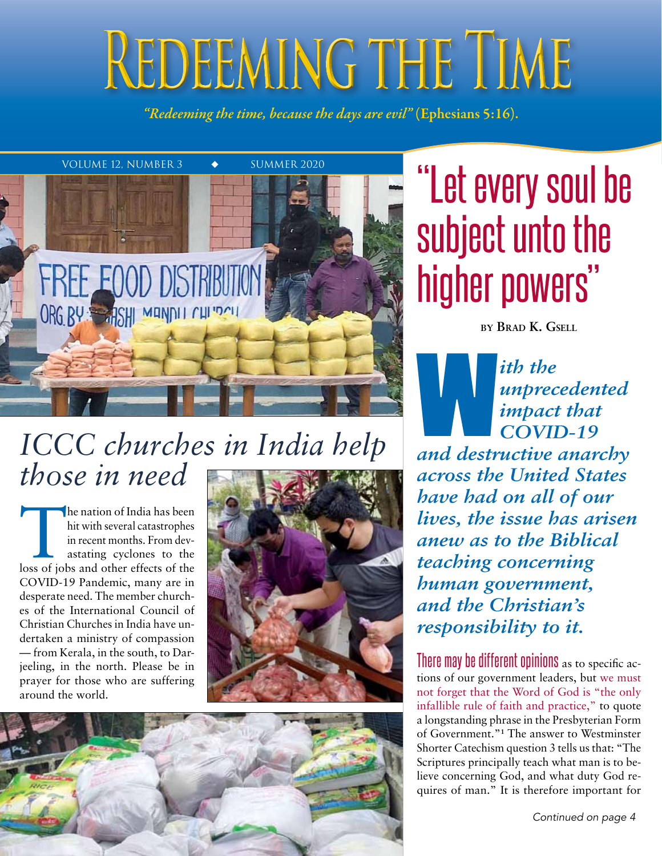# REDEEMING THE TIME

*"Redeeming the time, because the days are evil"* (Ephesians 5:16).



# *ICCC churches in India help those in need*

The nation of India has been<br>hit with several catastrophes<br>in recent months. From dev-<br>astating cyclones to the<br>loss of jobs and other effects of the hit with several catastrophes in recent months. From devastating cyclones to the COVID-19 Pandemic, many are in desperate need. The member churches of the International Council of Christian Churches in India have undertaken a ministry of compassion — from Kerala, in the south, to Darjeeling, in the north. Please be in prayer for those who are suffering around the world.





# subject unto the higher powers"

**by Brad K. Gsell**

*ith the unprecedented impact that COVID-19 and destructive anarchy* 

*across the United States have had on all of our lives, the issue has arisen anew as to the Biblical teaching concerning human government, and the Christian's responsibility to it.*

There may be different opinions as to specific actions of our government leaders, but we must not forget that the Word of God is "the only infallible rule of faith and practice," to quote a longstanding phrase in the Presbyterian Form of Government."**<sup>1</sup>** The answer to Westminster Shorter Catechism question 3 tells us that: "The Scriptures principally teach what man is to believe concerning God, and what duty God requires of man." It is therefore important for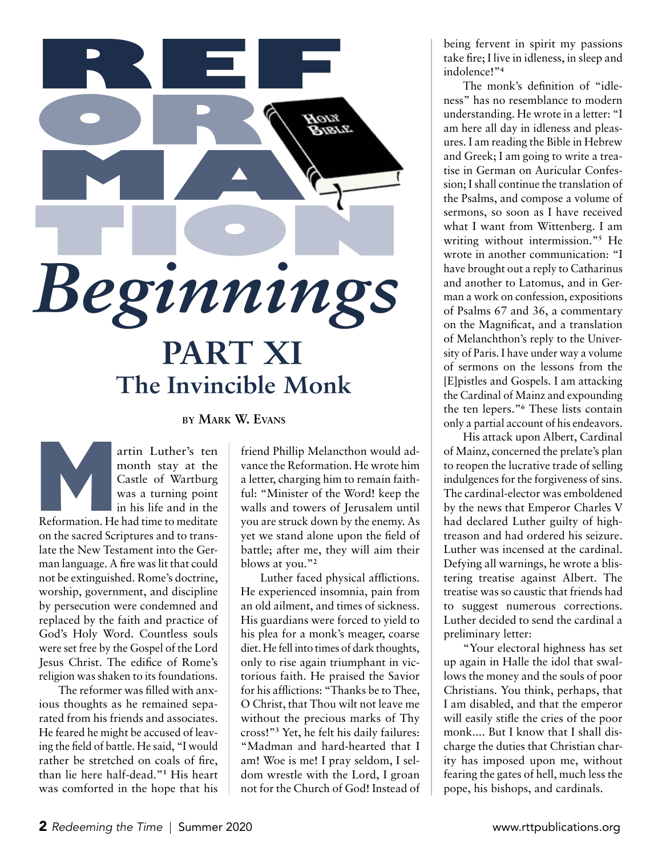

#### **by Mark W. Evans**

artin Luther's ten month stay at the Castle of Wartburg was a turning point in his life and in the artin Luther's ten<br>
month stay at the<br>
Castle of Wartburg<br>
was a turning point<br>
in his life and in the<br>
Reformation. He had time to meditate on the sacred Scriptures and to translate the New Testament into the German language. A fire was lit that could not be extinguished. Rome's doctrine, worship, government, and discipline by persecution were condemned and replaced by the faith and practice of God's Holy Word. Countless souls were set free by the Gospel of the Lord Jesus Christ. The edifice of Rome's religion was shaken to its foundations.

The reformer was filled with anxious thoughts as he remained separated from his friends and associates. He feared he might be accused of leaving the field of battle. He said, "I would rather be stretched on coals of fire, than lie here half-dead."**<sup>1</sup>** His heart was comforted in the hope that his

friend Phillip Melancthon would advance the Reformation. He wrote him a letter, charging him to remain faithful: "Minister of the Word! keep the walls and towers of Jerusalem until you are struck down by the enemy. As yet we stand alone upon the field of battle; after me, they will aim their blows at you."**<sup>2</sup>**

Luther faced physical afflictions. He experienced insomnia, pain from an old ailment, and times of sickness. His guardians were forced to yield to his plea for a monk's meager, coarse diet. He fell into times of dark thoughts, only to rise again triumphant in victorious faith. He praised the Savior for his afflictions: "Thanks be to Thee, O Christ, that Thou wilt not leave me without the precious marks of Thy cross!"**<sup>3</sup>** Yet, he felt his daily failures: "Madman and hard-hearted that I am! Woe is me! I pray seldom, I seldom wrestle with the Lord, I groan not for the Church of God! Instead of

being fervent in spirit my passions take fire; I live in idleness, in sleep and indolence!"**<sup>4</sup>**

The monk's definition of "idleness" has no resemblance to modern understanding. He wrote in a letter: "I am here all day in idleness and pleasures. I am reading the Bible in Hebrew and Greek; I am going to write a treatise in German on Auricular Confession; I shall continue the translation of the Psalms, and compose a volume of sermons, so soon as I have received what I want from Wittenberg. I am writing without intermission."**<sup>5</sup>** He wrote in another communication: "I have brought out a reply to Catharinus and another to Latomus, and in German a work on confession, expositions of Psalms 67 and 36, a commentary on the Magnificat, and a translation of Melanchthon's reply to the University of Paris. I have under way a volume of sermons on the lessons from the [E]pistles and Gospels. I am attacking the Cardinal of Mainz and expounding the ten lepers."**<sup>6</sup>** These lists contain only a partial account of his endeavors.

His attack upon Albert, Cardinal of Mainz, concerned the prelate's plan to reopen the lucrative trade of selling indulgences for the forgiveness of sins. The cardinal-elector was emboldened by the news that Emperor Charles V had declared Luther guilty of hightreason and had ordered his seizure. Luther was incensed at the cardinal. Defying all warnings, he wrote a blistering treatise against Albert. The treatise was so caustic that friends had to suggest numerous corrections. Luther decided to send the cardinal a preliminary letter:

"Your electoral highness has set up again in Halle the idol that swallows the money and the souls of poor Christians. You think, perhaps, that I am disabled, and that the emperor will easily stifle the cries of the poor monk.... But I know that I shall discharge the duties that Christian charity has imposed upon me, without fearing the gates of hell, much less the pope, his bishops, and cardinals.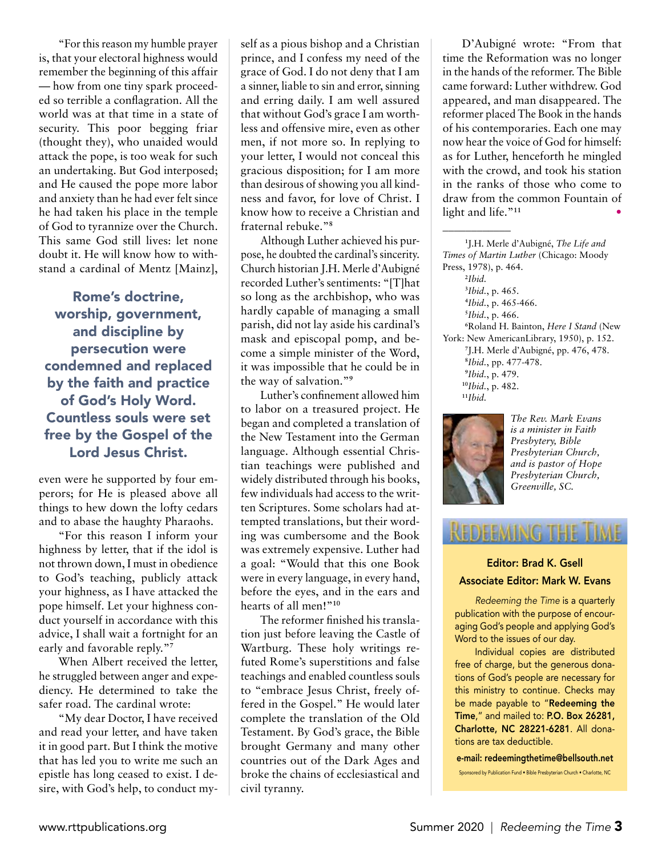"For this reason my humble prayer is, that your electoral highness would remember the beginning of this affair — how from one tiny spark proceeded so terrible a conflagration. All the world was at that time in a state of security. This poor begging friar (thought they), who unaided would attack the pope, is too weak for such an undertaking. But God interposed; and He caused the pope more labor and anxiety than he had ever felt since he had taken his place in the temple of God to tyrannize over the Church. This same God still lives: let none doubt it. He will know how to withstand a cardinal of Mentz [Mainz],

Rome's doctrine, worship, government, and discipline by persecution were condemned and replaced by the faith and practice of God's Holy Word. Countless souls were set free by the Gospel of the Lord Jesus Christ.

even were he supported by four emperors; for He is pleased above all things to hew down the lofty cedars and to abase the haughty Pharaohs.

"For this reason I inform your highness by letter, that if the idol is not thrown down, I must in obedience to God's teaching, publicly attack your highness, as I have attacked the pope himself. Let your highness conduct yourself in accordance with this advice, I shall wait a fortnight for an early and favorable reply."**<sup>7</sup>**

When Albert received the letter, he struggled between anger and expediency. He determined to take the safer road. The cardinal wrote:

"My dear Doctor, I have received and read your letter, and have taken it in good part. But I think the motive that has led you to write me such an epistle has long ceased to exist. I desire, with God's help, to conduct myself as a pious bishop and a Christian prince, and I confess my need of the grace of God. I do not deny that I am a sinner, liable to sin and error, sinning and erring daily. I am well assured that without God's grace I am worthless and offensive mire, even as other men, if not more so. In replying to your letter, I would not conceal this gracious disposition; for I am more than desirous of showing you all kindness and favor, for love of Christ. I know how to receive a Christian and fraternal rebuke."**<sup>8</sup>**

Although Luther achieved his purpose, he doubted the cardinal's sincerity. Church historian J.H. Merle d'Aubigné recorded Luther's sentiments: "[T]hat so long as the archbishop, who was hardly capable of managing a small parish, did not lay aside his cardinal's mask and episcopal pomp, and become a simple minister of the Word, it was impossible that he could be in the way of salvation."**<sup>9</sup>**

Luther's confinement allowed him to labor on a treasured project. He began and completed a translation of the New Testament into the German language. Although essential Christian teachings were published and widely distributed through his books, few individuals had access to the written Scriptures. Some scholars had attempted translations, but their wording was cumbersome and the Book was extremely expensive. Luther had a goal: "Would that this one Book were in every language, in every hand, before the eyes, and in the ears and hearts of all men!"**<sup>10</sup>**

The reformer finished his translation just before leaving the Castle of Wartburg. These holy writings refuted Rome's superstitions and false teachings and enabled countless souls to "embrace Jesus Christ, freely offered in the Gospel." He would later complete the translation of the Old Testament. By God's grace, the Bible brought Germany and many other countries out of the Dark Ages and broke the chains of ecclesiastical and civil tyranny.

D'Aubigné wrote: "From that time the Reformation was no longer in the hands of the reformer. The Bible came forward: Luther withdrew. God appeared, and man disappeared. The reformer placed The Book in the hands of his contemporaries. Each one may now hear the voice of God for himself: as for Luther, henceforth he mingled with the crowd, and took his station in the ranks of those who come to draw from the common Fountain of light and life."<sup>11</sup>

 J.H. Merle d'Aubigné, *The Life and Times of Martin Luther* (Chicago: Moody Press, 1978), p. 464. **12** *Ibid. Ibid.*, p. 465. *Ibid.*, p. 465-466. *Ibid.*, p. 466. Roland H. Bainton, *Here I Stand* (New York: New AmericanLibrary, 1950), p. 152. J.H. Merle d'Aubigné, pp. 476, 478. *Ibid.*, pp. 477-478. *Ibid.*, p. 479. *Ibid.*, p. 482. **<sup>11</sup>***Ibid.*



\_\_\_\_\_\_\_\_\_\_\_\_

*The Rev. Mark Evans is a minister in Faith Presbytery, Bible Presbyterian Church, and is pastor of Hope Presbyterian Church, Greenville, SC.*

# REDEEMING THE TIME

#### Editor: Brad K. Gsell Associate Editor: Mark W. Evans

*Redeeming the Time* is a quarterly publication with the purpose of encouraging God's people and applying God's Word to the issues of our day.

Individual copies are distributed free of charge, but the generous donations of God's people are necessary for this ministry to continue. Checks may be made payable to "Redeeming the Time," and mailed to: P.O. Box 26281, Charlotte, NC 28221-6281. All donations are tax deductible.

e-mail: redeemingthetime@bellsouth.net Sponsored by Publication Fund • Bible Presbyterian Church • Charlotte, NC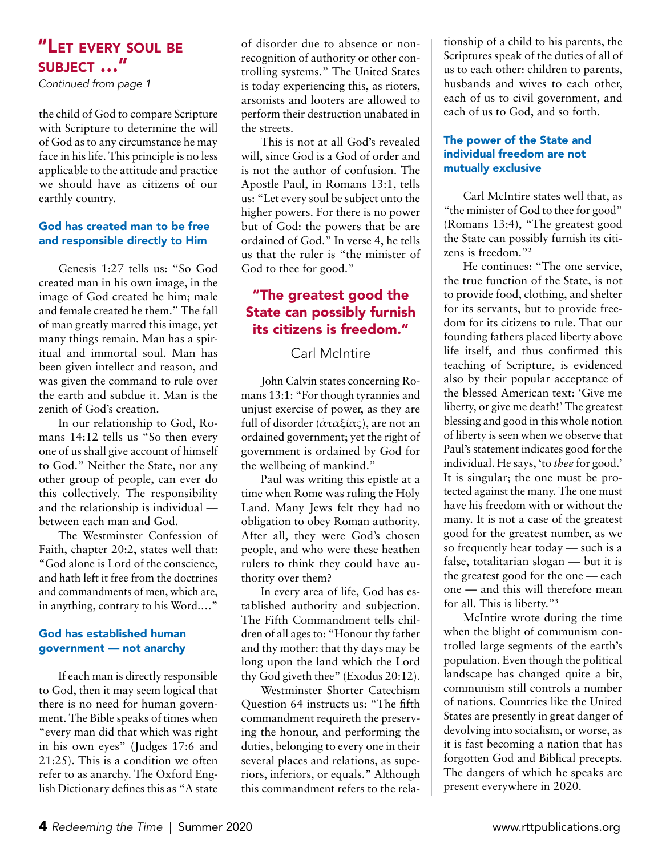*Continued from page 1*

the child of God to compare Scripture with Scripture to determine the will of God as to any circumstance he may face in his life. This principle is no less applicable to the attitude and practice we should have as citizens of our earthly country.

#### God has created man to be free and responsible directly to Him

Genesis 1:27 tells us: "So God created man in his own image, in the image of God created he him; male and female created he them." The fall of man greatly marred this image, yet many things remain. Man has a spiritual and immortal soul. Man has been given intellect and reason, and was given the command to rule over the earth and subdue it. Man is the zenith of God's creation.

In our relationship to God, Romans 14:12 tells us "So then every one of us shall give account of himself to God." Neither the State, nor any other group of people, can ever do this collectively. The responsibility and the relationship is individual between each man and God.

The Westminster Confession of Faith, chapter 20:2, states well that: "God alone is Lord of the conscience, and hath left it free from the doctrines and commandments of men, which are, in anything, contrary to his Word.…"

#### God has established human government — not anarchy

If each man is directly responsible to God, then it may seem logical that there is no need for human government. The Bible speaks of times when "every man did that which was right in his own eyes" (Judges 17:6 and 21:25). This is a condition we often refer to as anarchy. The Oxford English Dictionary defines this as "A state of disorder due to absence or nonrecognition of authority or other controlling systems." The United States is today experiencing this, as rioters, arsonists and looters are allowed to perform their destruction unabated in the streets.

This is not at all God's revealed will, since God is a God of order and is not the author of confusion. The Apostle Paul, in Romans 13:1, tells us: "Let every soul be subject unto the higher powers. For there is no power but of God: the powers that be are ordained of God." In verse 4, he tells us that the ruler is "the minister of God to thee for good."

#### "The greatest good the State can possibly furnish its citizens is freedom."

#### Carl McIntire

John Calvin states concerning Romans 13:1: "For though tyrannies and unjust exercise of power, as they are full of disorder (ἀταξίας), are not an ordained government; yet the right of government is ordained by God for the wellbeing of mankind."

Paul was writing this epistle at a time when Rome was ruling the Holy Land. Many Jews felt they had no obligation to obey Roman authority. After all, they were God's chosen people, and who were these heathen rulers to think they could have authority over them?

In every area of life, God has established authority and subjection. The Fifth Commandment tells children of all ages to: "Honour thy father and thy mother: that thy days may be long upon the land which the Lord thy God giveth thee" (Exodus 20:12).

Westminster Shorter Catechism Question 64 instructs us: "The fifth commandment requireth the preserving the honour, and performing the duties, belonging to every one in their several places and relations, as superiors, inferiors, or equals." Although this commandment refers to the relationship of a child to his parents, the Scriptures speak of the duties of all of us to each other: children to parents, husbands and wives to each other, each of us to civil government, and each of us to God, and so forth.

#### The power of the State and individual freedom are not mutually exclusive

Carl McIntire states well that, as "the minister of God to thee for good" (Romans 13:4), "The greatest good the State can possibly furnish its citizens is freedom."**<sup>2</sup>**

He continues: "The one service, the true function of the State, is not to provide food, clothing, and shelter for its servants, but to provide freedom for its citizens to rule. That our founding fathers placed liberty above life itself, and thus confirmed this teaching of Scripture, is evidenced also by their popular acceptance of the blessed American text: 'Give me liberty, or give me death!' The greatest blessing and good in this whole notion of liberty is seen when we observe that Paul's statement indicates good for the individual. He says, 'to *thee* for good.' It is singular; the one must be protected against the many. The one must have his freedom with or without the many. It is not a case of the greatest good for the greatest number, as we so frequently hear today — such is a false, totalitarian slogan — but it is the greatest good for the one — each one — and this will therefore mean for all. This is liberty."**<sup>3</sup>**

McIntire wrote during the time when the blight of communism controlled large segments of the earth's population. Even though the political landscape has changed quite a bit, communism still controls a number of nations. Countries like the United States are presently in great danger of devolving into socialism, or worse, as it is fast becoming a nation that has forgotten God and Biblical precepts. The dangers of which he speaks are present everywhere in 2020.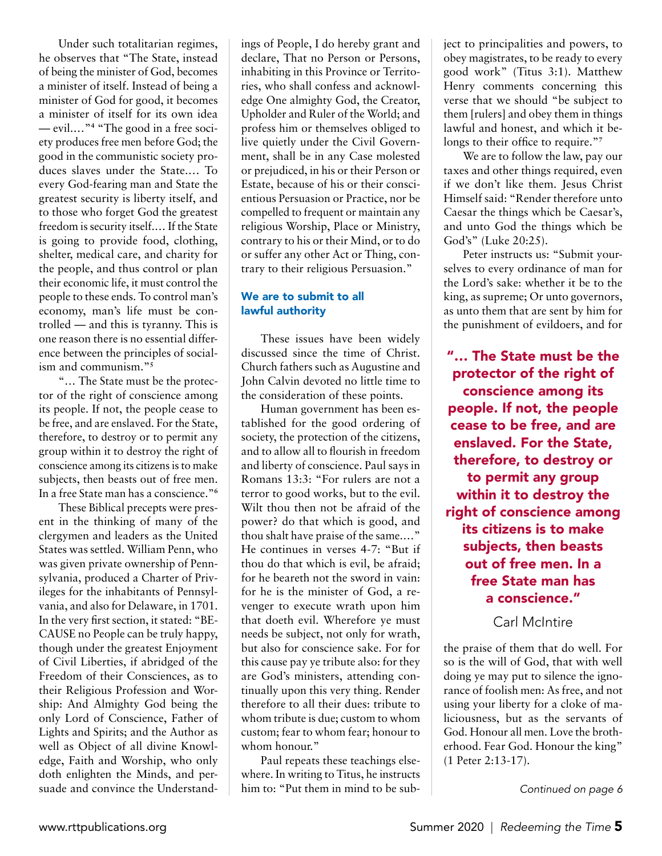Under such totalitarian regimes, he observes that "The State, instead of being the minister of God, becomes a minister of itself. Instead of being a minister of God for good, it becomes a minister of itself for its own idea — evil.…"**<sup>4</sup>** "The good in a free society produces free men before God; the good in the communistic society produces slaves under the State.… To every God-fearing man and State the greatest security is liberty itself, and to those who forget God the greatest freedom is security itself.… If the State is going to provide food, clothing, shelter, medical care, and charity for the people, and thus control or plan their economic life, it must control the people to these ends. To control man's economy, man's life must be controlled — and this is tyranny. This is one reason there is no essential difference between the principles of socialism and communism."**<sup>5</sup>**

"… The State must be the protector of the right of conscience among its people. If not, the people cease to be free, and are enslaved. For the State, therefore, to destroy or to permit any group within it to destroy the right of conscience among its citizens is to make subjects, then beasts out of free men. In a free State man has a conscience."**<sup>6</sup>**

These Biblical precepts were present in the thinking of many of the clergymen and leaders as the United States was settled. William Penn, who was given private ownership of Pennsylvania, produced a Charter of Privileges for the inhabitants of Pennsylvania, and also for Delaware, in 1701. In the very first section, it stated: "BE-CAUSE no People can be truly happy, though under the greatest Enjoyment of Civil Liberties, if abridged of the Freedom of their Consciences, as to their Religious Profession and Worship: And Almighty God being the only Lord of Conscience, Father of Lights and Spirits; and the Author as well as Object of all divine Knowledge, Faith and Worship, who only doth enlighten the Minds, and persuade and convince the Understandings of People, I do hereby grant and declare, That no Person or Persons, inhabiting in this Province or Territories, who shall confess and acknowledge One almighty God, the Creator, Upholder and Ruler of the World; and profess him or themselves obliged to live quietly under the Civil Government, shall be in any Case molested or prejudiced, in his or their Person or Estate, because of his or their conscientious Persuasion or Practice, nor be compelled to frequent or maintain any religious Worship, Place or Ministry, contrary to his or their Mind, or to do or suffer any other Act or Thing, contrary to their religious Persuasion."

#### We are to submit to all lawful authority

These issues have been widely discussed since the time of Christ. Church fathers such as Augustine and John Calvin devoted no little time to the consideration of these points.

Human government has been established for the good ordering of society, the protection of the citizens, and to allow all to flourish in freedom and liberty of conscience. Paul says in Romans 13:3: "For rulers are not a terror to good works, but to the evil. Wilt thou then not be afraid of the power? do that which is good, and thou shalt have praise of the same.…" He continues in verses 4-7: "But if thou do that which is evil, be afraid; for he beareth not the sword in vain: for he is the minister of God, a revenger to execute wrath upon him that doeth evil. Wherefore ye must needs be subject, not only for wrath, but also for conscience sake. For for this cause pay ye tribute also: for they are God's ministers, attending continually upon this very thing. Render therefore to all their dues: tribute to whom tribute is due; custom to whom custom; fear to whom fear; honour to whom honour."

Paul repeats these teachings elsewhere. In writing to Titus, he instructs him to: "Put them in mind to be subject to principalities and powers, to obey magistrates, to be ready to every good work" (Titus 3:1). Matthew Henry comments concerning this verse that we should "be subject to them [rulers] and obey them in things lawful and honest, and which it belongs to their office to require."**<sup>7</sup>**

We are to follow the law, pay our taxes and other things required, even if we don't like them. Jesus Christ Himself said: "Render therefore unto Caesar the things which be Caesar's, and unto God the things which be God's" (Luke 20:25).

Peter instructs us: "Submit yourselves to every ordinance of man for the Lord's sake: whether it be to the king, as supreme; Or unto governors, as unto them that are sent by him for the punishment of evildoers, and for

"… The State must be the protector of the right of conscience among its people. If not, the people cease to be free, and are enslaved. For the State, therefore, to destroy or to permit any group within it to destroy the right of conscience among its citizens is to make subjects, then beasts out of free men. In a free State man has a conscience."

Carl McIntire

the praise of them that do well. For so is the will of God, that with well doing ye may put to silence the ignorance of foolish men: As free, and not using your liberty for a cloke of maliciousness, but as the servants of God. Honour all men. Love the brotherhood. Fear God. Honour the king" (1 Peter 2:13-17).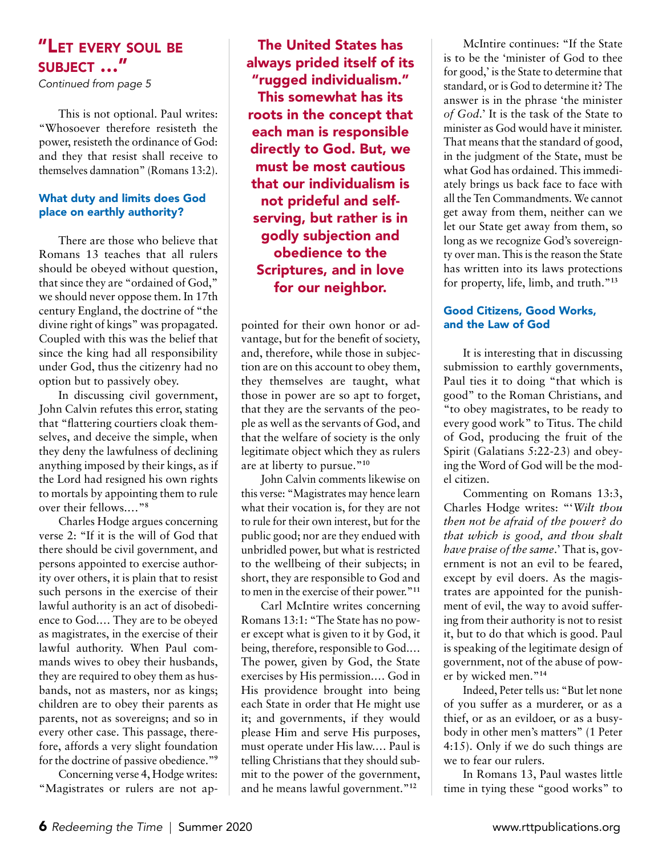*Continued from page 5*

This is not optional. Paul writes: "Whosoever therefore resisteth the power, resisteth the ordinance of God: and they that resist shall receive to themselves damnation" (Romans 13:2).

#### What duty and limits does God place on earthly authority?

There are those who believe that Romans 13 teaches that all rulers should be obeyed without question, that since they are "ordained of God," we should never oppose them. In 17th century England, the doctrine of "the divine right of kings" was propagated. Coupled with this was the belief that since the king had all responsibility under God, thus the citizenry had no option but to passively obey.

In discussing civil government, John Calvin refutes this error, stating that "flattering courtiers cloak themselves, and deceive the simple, when they deny the lawfulness of declining anything imposed by their kings, as if the Lord had resigned his own rights to mortals by appointing them to rule over their fellows.…"**<sup>8</sup>**

Charles Hodge argues concerning verse 2: "If it is the will of God that there should be civil government, and persons appointed to exercise authority over others, it is plain that to resist such persons in the exercise of their lawful authority is an act of disobedience to God.… They are to be obeyed as magistrates, in the exercise of their lawful authority. When Paul commands wives to obey their husbands, they are required to obey them as husbands, not as masters, nor as kings; children are to obey their parents as parents, not as sovereigns; and so in every other case. This passage, therefore, affords a very slight foundation for the doctrine of passive obedience."**<sup>9</sup>**

Concerning verse 4, Hodge writes: "Magistrates or rulers are not ap-

The United States has always prided itself of its "rugged individualism." This somewhat has its roots in the concept that each man is responsible directly to God. But, we must be most cautious that our individualism is not prideful and selfserving, but rather is in godly subjection and obedience to the Scriptures, and in love for our neighbor.

pointed for their own honor or advantage, but for the benefit of society, and, therefore, while those in subjection are on this account to obey them, they themselves are taught, what those in power are so apt to forget, that they are the servants of the people as well as the servants of God, and that the welfare of society is the only legitimate object which they as rulers are at liberty to pursue."**<sup>10</sup>**

John Calvin comments likewise on this verse: "Magistrates may hence learn what their vocation is, for they are not to rule for their own interest, but for the public good; nor are they endued with unbridled power, but what is restricted to the wellbeing of their subjects; in short, they are responsible to God and to men in the exercise of their power."**<sup>11</sup>**

Carl McIntire writes concerning Romans 13:1: "The State has no power except what is given to it by God, it being, therefore, responsible to God.… The power, given by God, the State exercises by His permission.… God in His providence brought into being each State in order that He might use it; and governments, if they would please Him and serve His purposes, must operate under His law.… Paul is telling Christians that they should submit to the power of the government, and he means lawful government."**<sup>12</sup>**

McIntire continues: "If the State is to be the 'minister of God to thee for good,' is the State to determine that standard, or is God to determine it? The answer is in the phrase 'the minister *of God*.' It is the task of the State to minister as God would have it minister. That means that the standard of good, in the judgment of the State, must be what God has ordained. This immediately brings us back face to face with all the Ten Commandments. We cannot get away from them, neither can we let our State get away from them, so long as we recognize God's sovereignty over man. This is the reason the State has written into its laws protections for property, life, limb, and truth."**<sup>13</sup>**

#### Good Citizens, Good Works, and the Law of God

It is interesting that in discussing submission to earthly governments, Paul ties it to doing "that which is good" to the Roman Christians, and "to obey magistrates, to be ready to every good work" to Titus. The child of God, producing the fruit of the Spirit (Galatians 5:22-23) and obeying the Word of God will be the model citizen.

Commenting on Romans 13:3, Charles Hodge writes: "'*Wilt thou then not be afraid of the power? do that which is good, and thou shalt have praise of the same*.' That is, government is not an evil to be feared, except by evil doers. As the magistrates are appointed for the punishment of evil, the way to avoid suffering from their authority is not to resist it, but to do that which is good. Paul is speaking of the legitimate design of government, not of the abuse of power by wicked men."**<sup>14</sup>**

Indeed, Peter tells us: "But let none of you suffer as a murderer, or as a thief, or as an evildoer, or as a busybody in other men's matters" (1 Peter 4:15). Only if we do such things are we to fear our rulers.

In Romans 13, Paul wastes little time in tying these "good works" to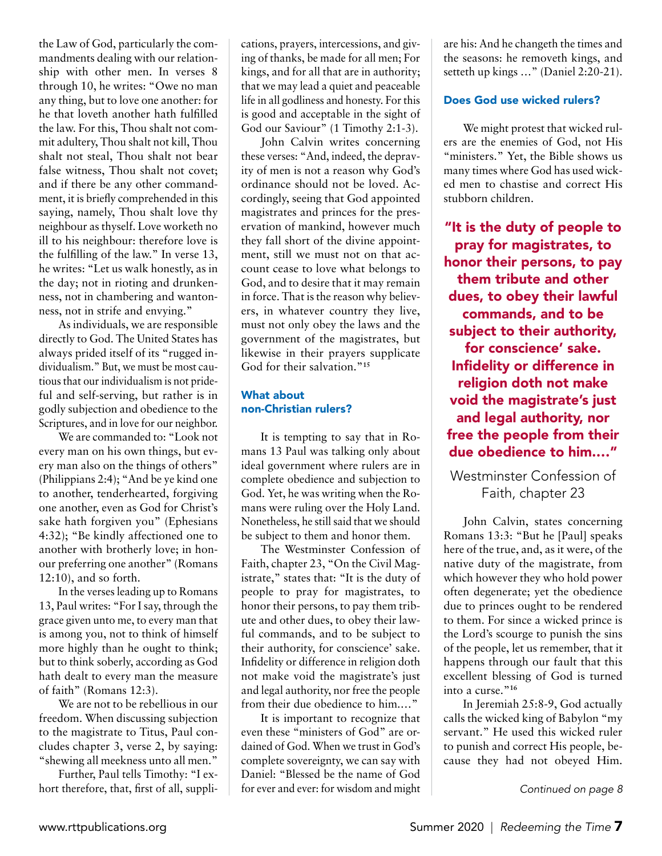the Law of God, particularly the commandments dealing with our relationship with other men. In verses 8 through 10, he writes: "Owe no man any thing, but to love one another: for he that loveth another hath fulfilled the law. For this, Thou shalt not commit adultery, Thou shalt not kill, Thou shalt not steal, Thou shalt not bear false witness, Thou shalt not covet; and if there be any other commandment, it is briefly comprehended in this saying, namely, Thou shalt love thy neighbour as thyself. Love worketh no ill to his neighbour: therefore love is the fulfilling of the law." In verse 13, he writes: "Let us walk honestly, as in the day; not in rioting and drunkenness, not in chambering and wantonness, not in strife and envying."

As individuals, we are responsible directly to God. The United States has always prided itself of its "rugged individualism." But, we must be most cautious that our individualism is not prideful and self-serving, but rather is in godly subjection and obedience to the Scriptures, and in love for our neighbor.

We are commanded to: "Look not every man on his own things, but every man also on the things of others" (Philippians 2:4); "And be ye kind one to another, tenderhearted, forgiving one another, even as God for Christ's sake hath forgiven you" (Ephesians 4:32); "Be kindly affectioned one to another with brotherly love; in honour preferring one another" (Romans 12:10), and so forth.

In the verses leading up to Romans 13, Paul writes: "For I say, through the grace given unto me, to every man that is among you, not to think of himself more highly than he ought to think; but to think soberly, according as God hath dealt to every man the measure of faith" (Romans 12:3).

We are not to be rebellious in our freedom. When discussing subjection to the magistrate to Titus, Paul concludes chapter 3, verse 2, by saying: "shewing all meekness unto all men."

Further, Paul tells Timothy: "I exhort therefore, that, first of all, supplications, prayers, intercessions, and giving of thanks, be made for all men; For kings, and for all that are in authority; that we may lead a quiet and peaceable life in all godliness and honesty. For this is good and acceptable in the sight of God our Saviour" (1 Timothy 2:1-3).

John Calvin writes concerning these verses: "And, indeed, the depravity of men is not a reason why God's ordinance should not be loved. Accordingly, seeing that God appointed magistrates and princes for the preservation of mankind, however much they fall short of the divine appointment, still we must not on that account cease to love what belongs to God, and to desire that it may remain in force. That is the reason why believers, in whatever country they live, must not only obey the laws and the government of the magistrates, but likewise in their prayers supplicate God for their salvation."**<sup>15</sup>**

#### What about non-Christian rulers?

It is tempting to say that in Romans 13 Paul was talking only about ideal government where rulers are in complete obedience and subjection to God. Yet, he was writing when the Romans were ruling over the Holy Land. Nonetheless, he still said that we should be subject to them and honor them.

The Westminster Confession of Faith, chapter 23, "On the Civil Magistrate," states that: "It is the duty of people to pray for magistrates, to honor their persons, to pay them tribute and other dues, to obey their lawful commands, and to be subject to their authority, for conscience' sake. Infidelity or difference in religion doth not make void the magistrate's just and legal authority, nor free the people from their due obedience to him.…"

It is important to recognize that even these "ministers of God" are ordained of God. When we trust in God's complete sovereignty, we can say with Daniel: "Blessed be the name of God for ever and ever: for wisdom and might are his: And he changeth the times and the seasons: he removeth kings, and setteth up kings …" (Daniel 2:20-21).

#### Does God use wicked rulers?

We might protest that wicked rulers are the enemies of God, not His "ministers." Yet, the Bible shows us many times where God has used wicked men to chastise and correct His stubborn children.

"It is the duty of people to pray for magistrates, to honor their persons, to pay them tribute and other dues, to obey their lawful commands, and to be subject to their authority, for conscience' sake. Infidelity or difference in religion doth not make void the magistrate's just and legal authority, nor free the people from their due obedience to him.…"

Westminster Confession of Faith, chapter 23

John Calvin, states concerning Romans 13:3: "But he [Paul] speaks here of the true, and, as it were, of the native duty of the magistrate, from which however they who hold power often degenerate; yet the obedience due to princes ought to be rendered to them. For since a wicked prince is the Lord's scourge to punish the sins of the people, let us remember, that it happens through our fault that this excellent blessing of God is turned into a curse."**<sup>16</sup>**

In Jeremiah 25:8-9, God actually calls the wicked king of Babylon "my servant." He used this wicked ruler to punish and correct His people, because they had not obeyed Him.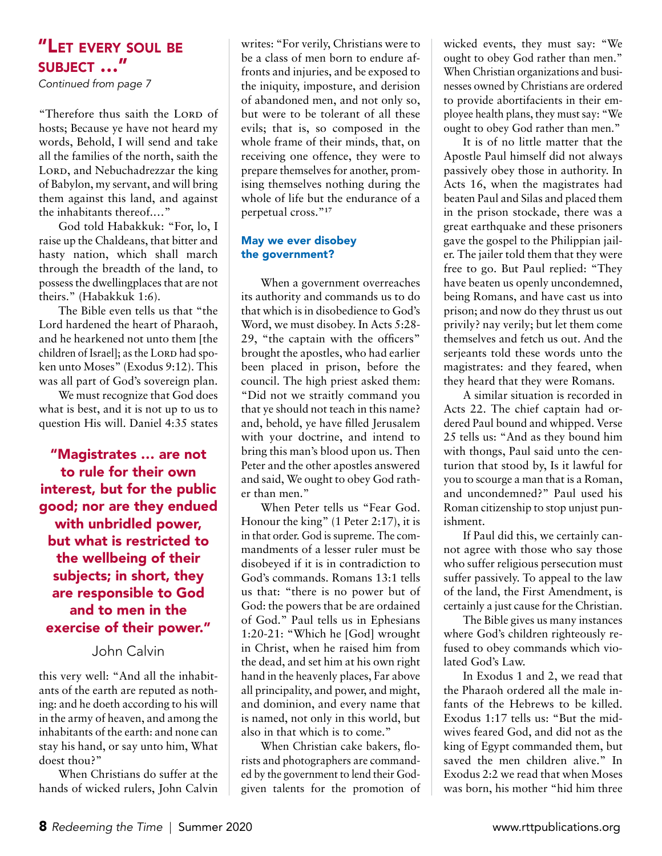*Continued from page 7*

"Therefore thus saith the LORD of hosts; Because ye have not heard my words, Behold, I will send and take all the families of the north, saith the LORD, and Nebuchadrezzar the king of Babylon, my servant, and will bring them against this land, and against the inhabitants thereof.…"

God told Habakkuk: "For, lo, I raise up the Chaldeans, that bitter and hasty nation, which shall march through the breadth of the land, to possess the dwellingplaces that are not theirs." (Habakkuk 1:6).

The Bible even tells us that "the Lord hardened the heart of Pharaoh, and he hearkened not unto them [the children of Israel]; as the LORD had spoken unto Moses" (Exodus 9:12). This was all part of God's sovereign plan.

We must recognize that God does what is best, and it is not up to us to question His will. Daniel 4:35 states

"Magistrates … are not to rule for their own interest, but for the public good; nor are they endued with unbridled power, but what is restricted to the wellbeing of their subjects; in short, they are responsible to God and to men in the exercise of their power."

#### John Calvin

this very well: "And all the inhabitants of the earth are reputed as nothing: and he doeth according to his will in the army of heaven, and among the inhabitants of the earth: and none can stay his hand, or say unto him, What doest thou?"

When Christians do suffer at the hands of wicked rulers, John Calvin writes: "For verily, Christians were to be a class of men born to endure affronts and injuries, and be exposed to the iniquity, imposture, and derision of abandoned men, and not only so, but were to be tolerant of all these evils; that is, so composed in the whole frame of their minds, that, on receiving one offence, they were to prepare themselves for another, promising themselves nothing during the whole of life but the endurance of a perpetual cross."**<sup>17</sup>**

#### May we ever disobey the government?

When a government overreaches its authority and commands us to do that which is in disobedience to God's Word, we must disobey. In Acts 5:28-29, "the captain with the officers" brought the apostles, who had earlier been placed in prison, before the council. The high priest asked them: "Did not we straitly command you that ye should not teach in this name? and, behold, ye have filled Jerusalem with your doctrine, and intend to bring this man's blood upon us. Then Peter and the other apostles answered and said, We ought to obey God rather than men."

When Peter tells us "Fear God. Honour the king" (1 Peter 2:17), it is in that order. God is supreme. The commandments of a lesser ruler must be disobeyed if it is in contradiction to God's commands. Romans 13:1 tells us that: "there is no power but of God: the powers that be are ordained of God." Paul tells us in Ephesians 1:20-21: "Which he [God] wrought in Christ, when he raised him from the dead, and set him at his own right hand in the heavenly places, Far above all principality, and power, and might, and dominion, and every name that is named, not only in this world, but also in that which is to come."

When Christian cake bakers, florists and photographers are commanded by the government to lend their Godgiven talents for the promotion of

wicked events, they must say: "We ought to obey God rather than men." When Christian organizations and businesses owned by Christians are ordered to provide abortifacients in their employee health plans, they must say: "We ought to obey God rather than men."

It is of no little matter that the Apostle Paul himself did not always passively obey those in authority. In Acts 16, when the magistrates had beaten Paul and Silas and placed them in the prison stockade, there was a great earthquake and these prisoners gave the gospel to the Philippian jailer. The jailer told them that they were free to go. But Paul replied: "They have beaten us openly uncondemned, being Romans, and have cast us into prison; and now do they thrust us out privily? nay verily; but let them come themselves and fetch us out. And the serjeants told these words unto the magistrates: and they feared, when they heard that they were Romans.

A similar situation is recorded in Acts 22. The chief captain had ordered Paul bound and whipped. Verse 25 tells us: "And as they bound him with thongs, Paul said unto the centurion that stood by, Is it lawful for you to scourge a man that is a Roman, and uncondemned?" Paul used his Roman citizenship to stop unjust punishment.

If Paul did this, we certainly cannot agree with those who say those who suffer religious persecution must suffer passively. To appeal to the law of the land, the First Amendment, is certainly a just cause for the Christian.

The Bible gives us many instances where God's children righteously refused to obey commands which violated God's Law.

In Exodus 1 and 2, we read that the Pharaoh ordered all the male infants of the Hebrews to be killed. Exodus 1:17 tells us: "But the midwives feared God, and did not as the king of Egypt commanded them, but saved the men children alive." In Exodus 2:2 we read that when Moses was born, his mother "hid him three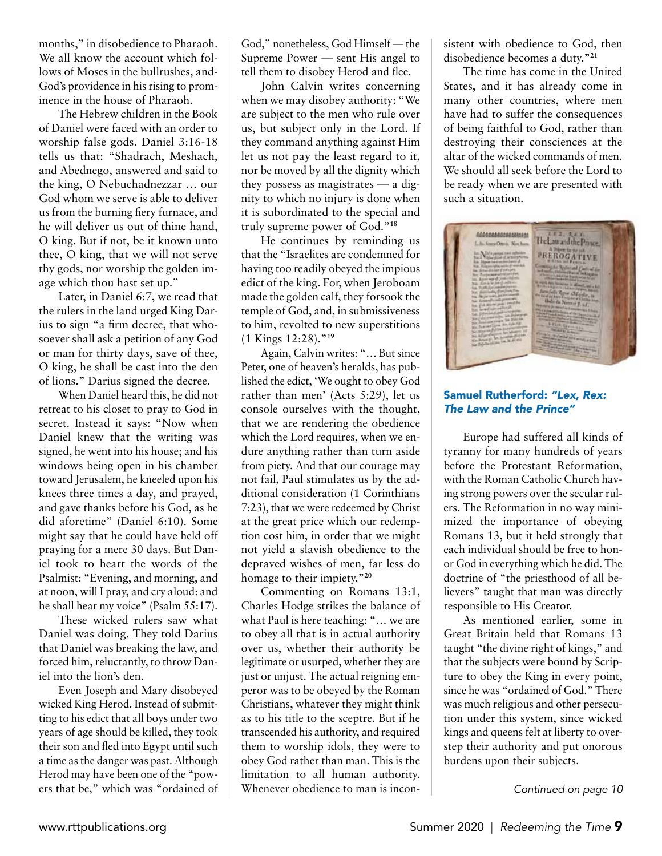months," in disobedience to Pharaoh. We all know the account which follows of Moses in the bullrushes, and-God's providence in his rising to prominence in the house of Pharaoh.

The Hebrew children in the Book of Daniel were faced with an order to worship false gods. Daniel 3:16-18 tells us that: "Shadrach, Meshach, and Abednego, answered and said to the king, O Nebuchadnezzar … our God whom we serve is able to deliver us from the burning fiery furnace, and he will deliver us out of thine hand, O king. But if not, be it known unto thee, O king, that we will not serve thy gods, nor worship the golden image which thou hast set up."

Later, in Daniel 6:7, we read that the rulers in the land urged King Darius to sign "a firm decree, that whosoever shall ask a petition of any God or man for thirty days, save of thee, O king, he shall be cast into the den of lions." Darius signed the decree.

When Daniel heard this, he did not retreat to his closet to pray to God in secret. Instead it says: "Now when Daniel knew that the writing was signed, he went into his house; and his windows being open in his chamber toward Jerusalem, he kneeled upon his knees three times a day, and prayed, and gave thanks before his God, as he did aforetime" (Daniel 6:10). Some might say that he could have held off praying for a mere 30 days. But Daniel took to heart the words of the Psalmist: "Evening, and morning, and at noon, will I pray, and cry aloud: and he shall hear my voice" (Psalm 55:17).

These wicked rulers saw what Daniel was doing. They told Darius that Daniel was breaking the law, and forced him, reluctantly, to throw Daniel into the lion's den.

Even Joseph and Mary disobeyed wicked King Herod. Instead of submitting to his edict that all boys under two years of age should be killed, they took their son and fled into Egypt until such a time as the danger was past. Although Herod may have been one of the "powers that be," which was "ordained of God," nonetheless, God Himself — the Supreme Power — sent His angel to tell them to disobey Herod and flee.

John Calvin writes concerning when we may disobey authority: "We are subject to the men who rule over us, but subject only in the Lord. If they command anything against Him let us not pay the least regard to it, nor be moved by all the dignity which they possess as magistrates — a dignity to which no injury is done when it is subordinated to the special and truly supreme power of God."**<sup>18</sup>**

He continues by reminding us that the "Israelites are condemned for having too readily obeyed the impious edict of the king. For, when Jeroboam made the golden calf, they forsook the temple of God, and, in submissiveness to him, revolted to new superstitions (1 Kings 12:28)."**<sup>19</sup>**

Again, Calvin writes: "… But since Peter, one of heaven's heralds, has published the edict, 'We ought to obey God rather than men' (Acts 5:29), let us console ourselves with the thought, that we are rendering the obedience which the Lord requires, when we endure anything rather than turn aside from piety. And that our courage may not fail, Paul stimulates us by the additional consideration (1 Corinthians 7:23), that we were redeemed by Christ at the great price which our redemption cost him, in order that we might not yield a slavish obedience to the depraved wishes of men, far less do homage to their impiety."**<sup>20</sup>**

Commenting on Romans 13:1, Charles Hodge strikes the balance of what Paul is here teaching: "… we are to obey all that is in actual authority over us, whether their authority be legitimate or usurped, whether they are just or unjust. The actual reigning emperor was to be obeyed by the Roman Christians, whatever they might think as to his title to the sceptre. But if he transcended his authority, and required them to worship idols, they were to obey God rather than man. This is the limitation to all human authority. Whenever obedience to man is inconsistent with obedience to God, then disobedience becomes a duty."**<sup>21</sup>**

The time has come in the United States, and it has already come in many other countries, where men have had to suffer the consequences of being faithful to God, rather than destroying their consciences at the altar of the wicked commands of men. We should all seek before the Lord to be ready when we are presented with such a situation.



#### Samuel Rutherford: *"Lex, Rex: The Law and the Prince"*

Europe had suffered all kinds of tyranny for many hundreds of years before the Protestant Reformation, with the Roman Catholic Church having strong powers over the secular rulers. The Reformation in no way minimized the importance of obeying Romans 13, but it held strongly that each individual should be free to honor God in everything which he did. The doctrine of "the priesthood of all believers" taught that man was directly responsible to His Creator.

As mentioned earlier, some in Great Britain held that Romans 13 taught "the divine right of kings," and that the subjects were bound by Scripture to obey the King in every point, since he was "ordained of God." There was much religious and other persecution under this system, since wicked kings and queens felt at liberty to overstep their authority and put onorous burdens upon their subjects.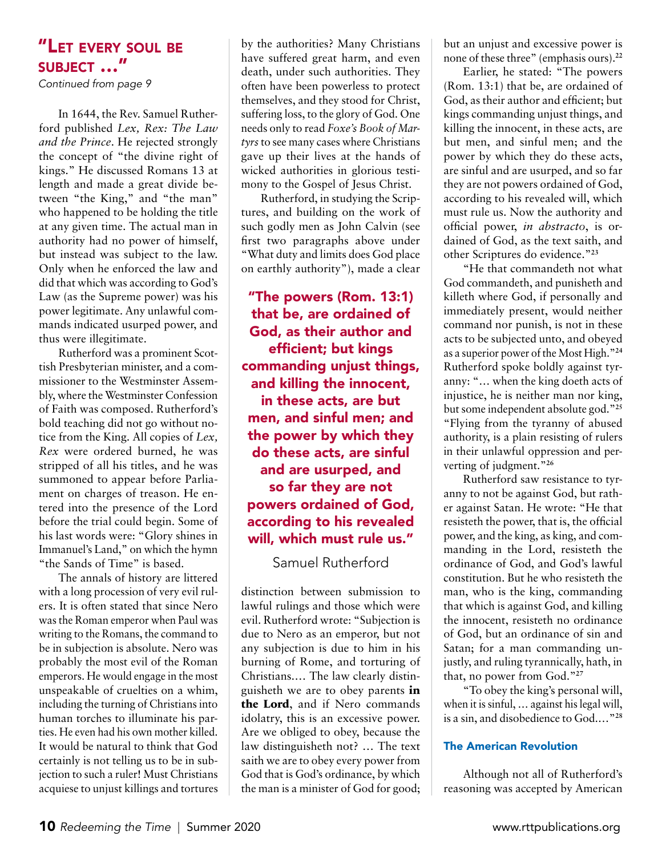*Continued from page 9*

In 1644, the Rev. Samuel Rutherford published *Lex, Rex: The Law and the Prince*. He rejected strongly the concept of "the divine right of kings." He discussed Romans 13 at length and made a great divide between "the King," and "the man" who happened to be holding the title at any given time. The actual man in authority had no power of himself, but instead was subject to the law. Only when he enforced the law and did that which was according to God's Law (as the Supreme power) was his power legitimate. Any unlawful commands indicated usurped power, and thus were illegitimate.

Rutherford was a prominent Scottish Presbyterian minister, and a commissioner to the Westminster Assembly, where the Westminster Confession of Faith was composed. Rutherford's bold teaching did not go without notice from the King. All copies of *Lex, Rex* were ordered burned, he was stripped of all his titles, and he was summoned to appear before Parliament on charges of treason. He entered into the presence of the Lord before the trial could begin. Some of his last words were: "Glory shines in Immanuel's Land," on which the hymn "the Sands of Time" is based.

The annals of history are littered with a long procession of very evil rulers. It is often stated that since Nero was the Roman emperor when Paul was writing to the Romans, the command to be in subjection is absolute. Nero was probably the most evil of the Roman emperors. He would engage in the most unspeakable of cruelties on a whim, including the turning of Christians into human torches to illuminate his parties. He even had his own mother killed. It would be natural to think that God certainly is not telling us to be in subjection to such a ruler! Must Christians acquiese to unjust killings and tortures

by the authorities? Many Christians have suffered great harm, and even death, under such authorities. They often have been powerless to protect themselves, and they stood for Christ, suffering loss, to the glory of God. One needs only to read *Foxe's Book of Martyrs* to see many cases where Christians gave up their lives at the hands of wicked authorities in glorious testimony to the Gospel of Jesus Christ.

Rutherford, in studying the Scriptures, and building on the work of such godly men as John Calvin (see first two paragraphs above under "What duty and limits does God place on earthly authority"), made a clear

"The powers (Rom. 13:1) that be, are ordained of God, as their author and efficient; but kings commanding unjust things, and killing the innocent, in these acts, are but men, and sinful men; and the power by which they do these acts, are sinful and are usurped, and so far they are not powers ordained of God, according to his revealed will, which must rule us."

Samuel Rutherford

distinction between submission to lawful rulings and those which were evil. Rutherford wrote: "Subjection is due to Nero as an emperor, but not any subjection is due to him in his burning of Rome, and torturing of Christians.… The law clearly distinguisheth we are to obey parents **in the Lord**, and if Nero commands idolatry, this is an excessive power. Are we obliged to obey, because the law distinguisheth not? … The text saith we are to obey every power from God that is God's ordinance, by which the man is a minister of God for good; but an unjust and excessive power is none of these three" (emphasis ours).**<sup>22</sup>**

Earlier, he stated: "The powers (Rom. 13:1) that be, are ordained of God, as their author and efficient; but kings commanding unjust things, and killing the innocent, in these acts, are but men, and sinful men; and the power by which they do these acts, are sinful and are usurped, and so far they are not powers ordained of God, according to his revealed will, which must rule us. Now the authority and official power, *in abstracto*, is ordained of God, as the text saith, and other Scriptures do evidence."**<sup>23</sup>**

"He that commandeth not what God commandeth, and punisheth and killeth where God, if personally and immediately present, would neither command nor punish, is not in these acts to be subjected unto, and obeyed as a superior power of the Most High."**<sup>24</sup>** Rutherford spoke boldly against tyranny: "… when the king doeth acts of injustice, he is neither man nor king, but some independent absolute god."**<sup>25</sup>** "Flying from the tyranny of abused authority, is a plain resisting of rulers in their unlawful oppression and perverting of judgment."**<sup>26</sup>**

Rutherford saw resistance to tyranny to not be against God, but rather against Satan. He wrote: "He that resisteth the power, that is, the official power, and the king, as king, and commanding in the Lord, resisteth the ordinance of God, and God's lawful constitution. But he who resisteth the man, who is the king, commanding that which is against God, and killing the innocent, resisteth no ordinance of God, but an ordinance of sin and Satan; for a man commanding unjustly, and ruling tyrannically, hath, in that, no power from God."**<sup>27</sup>**

"To obey the king's personal will, when it is sinful, ... against his legal will, is a sin, and disobedience to God.…"**<sup>28</sup>**

#### The American Revolution

Although not all of Rutherford's reasoning was accepted by American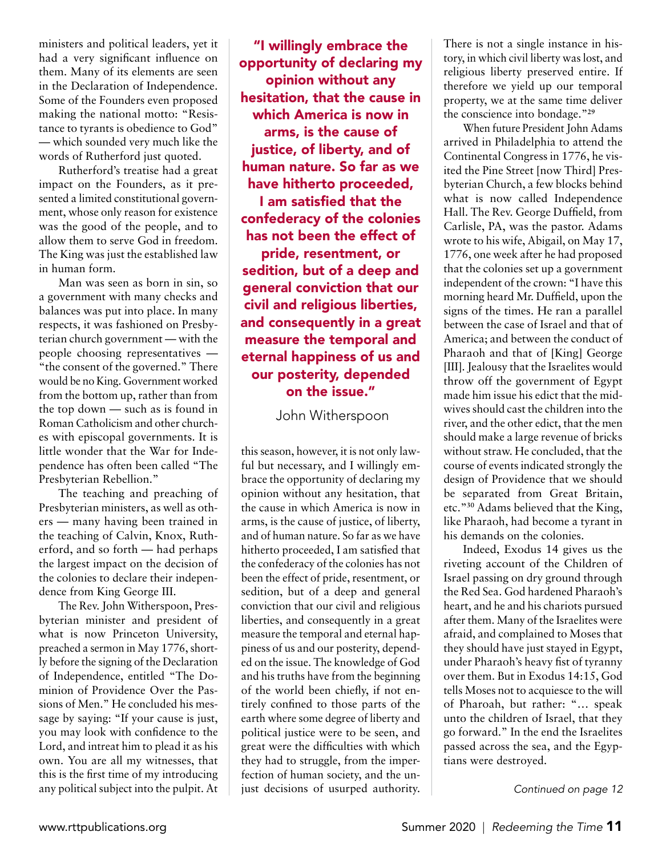ministers and political leaders, yet it had a very significant influence on them. Many of its elements are seen in the Declaration of Independence. Some of the Founders even proposed making the national motto: "Resistance to tyrants is obedience to God" — which sounded very much like the words of Rutherford just quoted.

Rutherford's treatise had a great impact on the Founders, as it presented a limited constitutional government, whose only reason for existence was the good of the people, and to allow them to serve God in freedom. The King was just the established law in human form.

Man was seen as born in sin, so a government with many checks and balances was put into place. In many respects, it was fashioned on Presbyterian church government — with the people choosing representatives — "the consent of the governed." There would be no King. Government worked from the bottom up, rather than from the top down — such as is found in Roman Catholicism and other churches with episcopal governments. It is little wonder that the War for Independence has often been called "The Presbyterian Rebellion."

The teaching and preaching of Presbyterian ministers, as well as others — many having been trained in the teaching of Calvin, Knox, Rutherford, and so forth — had perhaps the largest impact on the decision of the colonies to declare their independence from King George III.

The Rev. John Witherspoon, Presbyterian minister and president of what is now Princeton University, preached a sermon in May 1776, shortly before the signing of the Declaration of Independence, entitled "The Dominion of Providence Over the Passions of Men." He concluded his message by saying: "If your cause is just, you may look with confidence to the Lord, and intreat him to plead it as his own. You are all my witnesses, that this is the first time of my introducing any political subject into the pulpit. At

"I willingly embrace the opportunity of declaring my opinion without any hesitation, that the cause in which America is now in arms, is the cause of justice, of liberty, and of human nature. So far as we have hitherto proceeded, I am satisfied that the confederacy of the colonies has not been the effect of pride, resentment, or sedition, but of a deep and general conviction that our civil and religious liberties, and consequently in a great measure the temporal and eternal happiness of us and our posterity, depended on the issue."

John Witherspoon

this season, however, it is not only lawful but necessary, and I willingly embrace the opportunity of declaring my opinion without any hesitation, that the cause in which America is now in arms, is the cause of justice, of liberty, and of human nature. So far as we have hitherto proceeded, I am satisfied that the confederacy of the colonies has not been the effect of pride, resentment, or sedition, but of a deep and general conviction that our civil and religious liberties, and consequently in a great measure the temporal and eternal happiness of us and our posterity, depended on the issue. The knowledge of God and his truths have from the beginning of the world been chiefly, if not entirely confined to those parts of the earth where some degree of liberty and political justice were to be seen, and great were the difficulties with which they had to struggle, from the imperfection of human society, and the unjust decisions of usurped authority. There is not a single instance in history, in which civil liberty was lost, and religious liberty preserved entire. If therefore we yield up our temporal property, we at the same time deliver the conscience into bondage."**<sup>29</sup>**

When future President John Adams arrived in Philadelphia to attend the Continental Congress in 1776, he visited the Pine Street [now Third] Presbyterian Church, a few blocks behind what is now called Independence Hall. The Rev. George Duffield, from Carlisle, PA, was the pastor. Adams wrote to his wife, Abigail, on May 17, 1776, one week after he had proposed that the colonies set up a government independent of the crown: "I have this morning heard Mr. Duffield, upon the signs of the times. He ran a parallel between the case of Israel and that of America; and between the conduct of Pharaoh and that of [King] George [III]. Jealousy that the Israelites would throw off the government of Egypt made him issue his edict that the midwives should cast the children into the river, and the other edict, that the men should make a large revenue of bricks without straw. He concluded, that the course of events indicated strongly the design of Providence that we should be separated from Great Britain, etc."**<sup>30</sup>** Adams believed that the King, like Pharaoh, had become a tyrant in his demands on the colonies.

Indeed, Exodus 14 gives us the riveting account of the Children of Israel passing on dry ground through the Red Sea. God hardened Pharaoh's heart, and he and his chariots pursued after them. Many of the Israelites were afraid, and complained to Moses that they should have just stayed in Egypt, under Pharaoh's heavy fist of tyranny over them. But in Exodus 14:15, God tells Moses not to acquiesce to the will of Pharoah, but rather: "… speak unto the children of Israel, that they go forward." In the end the Israelites passed across the sea, and the Egyptians were destroyed.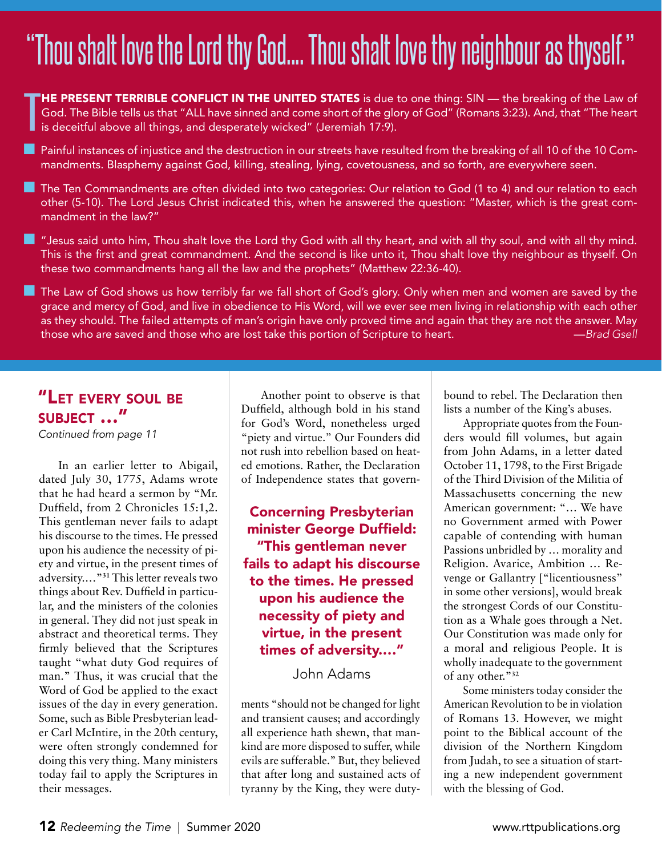# "Thou shalt love the Lord thy God.... Thou shalt love thy neighbour as thyself."

T HE PRESENT TERRIBLE CONFLICT IN THE UNITED STATES is due to one thing: SIN - the breaking of the Law of God. The Bible tells us that "ALL have sinned and come short of the glory of God" (Romans 3:23). And, that "The heart is deceitful above all things, and desperately wicked" (Jeremiah 17:9).

**n** Painful instances of injustice and the destruction in our streets have resulted from the breaking of all 10 of the 10 Commandments. Blasphemy against God, killing, stealing, lying, covetousness, and so forth, are everywhere seen.

**n** The Ten Commandments are often divided into two categories: Our relation to God (1 to 4) and our relation to each other (5-10). The Lord Jesus Christ indicated this, when he answered the question: "Master, which is the great commandment in the law?"

**n** "Jesus said unto him, Thou shalt love the Lord thy God with all thy heart, and with all thy soul, and with all thy mind. This is the first and great commandment. And the second is like unto it, Thou shalt love thy neighbour as thyself. On these two commandments hang all the law and the prophets" (Matthew 22:36-40).

The Law of God shows us how terribly far we fall short of God's glory. Only when men and women are saved by the grace and mercy of God, and live in obedience to His Word, will we ever see men living in relationship with each other as they should. The failed attempts of man's origin have only proved time and again that they are not the answer. May those who are saved and those who are lost take this portion of Scripture to heart. —*Brad Gsell*

## "Let every soul be subject …"

*Continued from page 11*

In an earlier letter to Abigail, dated July 30, 1775, Adams wrote that he had heard a sermon by "Mr. Duffield, from 2 Chronicles 15:1,2. This gentleman never fails to adapt his discourse to the times. He pressed upon his audience the necessity of piety and virtue, in the present times of adversity.…"**<sup>31</sup>** This letter reveals two things about Rev. Duffield in particular, and the ministers of the colonies in general. They did not just speak in abstract and theoretical terms. They firmly believed that the Scriptures taught "what duty God requires of man." Thus, it was crucial that the Word of God be applied to the exact issues of the day in every generation. Some, such as Bible Presbyterian leader Carl McIntire, in the 20th century, were often strongly condemned for doing this very thing. Many ministers today fail to apply the Scriptures in their messages.

Another point to observe is that Duffield, although bold in his stand for God's Word, nonetheless urged "piety and virtue." Our Founders did not rush into rebellion based on heated emotions. Rather, the Declaration of Independence states that govern-

#### Concerning Presbyterian minister George Duffield: "This gentleman never fails to adapt his discourse to the times. He pressed upon his audience the necessity of piety and virtue, in the present times of adversity.…"

John Adams

ments "should not be changed for light and transient causes; and accordingly all experience hath shewn, that mankind are more disposed to suffer, while evils are sufferable." But, they believed that after long and sustained acts of tyranny by the King, they were dutybound to rebel. The Declaration then lists a number of the King's abuses.

Appropriate quotes from the Founders would fill volumes, but again from John Adams, in a letter dated October 11, 1798, to the First Brigade of the Third Division of the Militia of Massachusetts concerning the new American government: "… We have no Government armed with Power capable of contending with human Passions unbridled by … morality and Religion. Avarice, Ambition … Revenge or Gallantry ["licentiousness" in some other versions], would break the strongest Cords of our Constitution as a Whale goes through a Net. Our Constitution was made only for a moral and religious People. It is wholly inadequate to the government of any other."**<sup>32</sup>**

Some ministers today consider the American Revolution to be in violation of Romans 13. However, we might point to the Biblical account of the division of the Northern Kingdom from Judah, to see a situation of starting a new independent government with the blessing of God.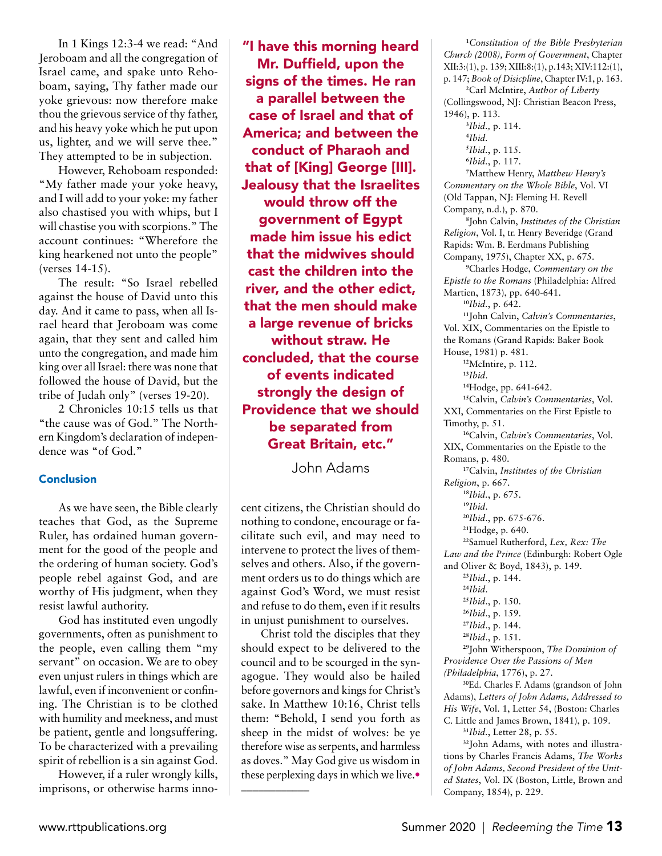In 1 Kings 12:3-4 we read: "And Jeroboam and all the congregation of Israel came, and spake unto Rehoboam, saying, Thy father made our yoke grievous: now therefore make thou the grievous service of thy father, and his heavy yoke which he put upon us, lighter, and we will serve thee." They attempted to be in subjection.

However, Rehoboam responded: "My father made your yoke heavy, and I will add to your yoke: my father also chastised you with whips, but I will chastise you with scorpions." The account continues: "Wherefore the king hearkened not unto the people" (verses 14-15).

The result: "So Israel rebelled against the house of David unto this day. And it came to pass, when all Israel heard that Jeroboam was come again, that they sent and called him unto the congregation, and made him king over all Israel: there was none that followed the house of David, but the tribe of Judah only" (verses 19-20).

2 Chronicles 10:15 tells us that "the cause was of God." The Northern Kingdom's declaration of independence was "of God."

#### Conclusion

As we have seen, the Bible clearly teaches that God, as the Supreme Ruler, has ordained human government for the good of the people and the ordering of human society. God's people rebel against God, and are worthy of His judgment, when they resist lawful authority.

God has instituted even ungodly governments, often as punishment to the people, even calling them "my servant" on occasion. We are to obey even unjust rulers in things which are lawful, even if inconvenient or confining. The Christian is to be clothed with humility and meekness, and must be patient, gentle and longsuffering. To be characterized with a prevailing spirit of rebellion is a sin against God.

However, if a ruler wrongly kills, imprisons, or otherwise harms inno-

"I have this morning heard Mr. Duffield, upon the signs of the times. He ran a parallel between the case of Israel and that of America; and between the conduct of Pharaoh and that of [King] George [III]. Jealousy that the Israelites would throw off the government of Egypt made him issue his edict that the midwives should cast the children into the river, and the other edict, that the men should make a large revenue of bricks without straw. He concluded, that the course of events indicated strongly the design of Providence that we should be separated from Great Britain, etc."

John Adams

cent citizens, the Christian should do nothing to condone, encourage or facilitate such evil, and may need to intervene to protect the lives of themselves and others. Also, if the government orders us to do things which are against God's Word, we must resist and refuse to do them, even if it results in unjust punishment to ourselves.

Christ told the disciples that they should expect to be delivered to the council and to be scourged in the synagogue. They would also be hailed before governors and kings for Christ's sake. In Matthew 10:16, Christ tells them: "Behold, I send you forth as sheep in the midst of wolves: be ye therefore wise as serpents, and harmless as doves." May God give us wisdom in these perplexing days in which we live.• \_\_\_\_\_\_\_\_\_\_\_\_

**11** *Constitution of the Bible Presbyterian Church (2008), Form of Government*, Chapter XII:3:(1), p. 139; XIII:8:(1), p.143; XIV:112:(1), p. 147; *Book of Disicpline*, Chapter IV:1, p. 163. **12** Carl McIntire, *Author of Liberty*

(Collingswood, NJ: Christian Beacon Press,

1946), p. 113. **13** *Ibid.,* p. 114. **14** *Ibid.* **15** *Ibid.*, p. 115. **16** *Ibid.*, p. 117. **17** Matthew Henry, *Matthew Henry's Commentary on the Whole Bible*, Vol. VI (Old Tappan, NJ: Fleming H. Revell Company, n.d.), p. 870. **18** John Calvin, *Institutes of the Christian Religion*, Vol. I, tr. Henry Beveridge (Grand Rapids: Wm. B. Eerdmans Publishing Company, 1975), Chapter XX, p. 675. **19** Charles Hodge, *Commentary on the Epistle to the Romans* (Philadelphia: Alfred Martien, 1873), pp. 640-641. **<sup>10</sup>***Ibid.*, p. 642. **<sup>11</sup>**John Calvin, *Calvin's Commentaries*, Vol. XIX, Commentaries on the Epistle to the Romans (Grand Rapids: Baker Book House, 1981) p. 481. **<sup>12</sup>**McIntire, p. 112. **<sup>13</sup>***Ibid*. **<sup>14</sup>**Hodge, pp. 641-642. **<sup>15</sup>**Calvin, *Calvin's Commentaries*, Vol. XXI, Commentaries on the First Epistle to Timothy, p. 51. **<sup>16</sup>**Calvin, *Calvin's Commentaries*, Vol. XIX, Commentaries on the Epistle to the Romans, p. 480. **<sup>17</sup>**Calvin, *Institutes of the Christian Religion*, p. 667. **<sup>18</sup>***Ibid.*, p. 675. **<sup>19</sup>***Ibid*. **<sup>20</sup>***Ibid*., pp. 675-676. **<sup>21</sup>**Hodge, p. 640. **<sup>22</sup>**Samuel Rutherford, *Lex, Rex: The Law and the Prince* (Edinburgh: Robert Ogle and Oliver & Boyd, 1843), p. 149. **<sup>23</sup>***Ibid.*, p. 144. **<sup>24</sup>***Ibid*. **<sup>25</sup>***Ibid*., p. 150. **<sup>26</sup>***Ibid*., p. 159. **<sup>27</sup>***Ibid*., p. 144. **<sup>28</sup>***Ibid*., p. 151. **<sup>29</sup>**John Witherspoon, *The Dominion of Providence Over the Passions of Men (Philadelphia*, 1776), p. 27.

**<sup>30</sup>**Ed. Charles F. Adams (grandson of John Adams), *Letters of John Adams, Addressed to His Wife*, Vol. 1, Letter 54, (Boston: Charles C. Little and James Brown, 1841), p. 109.

**<sup>31</sup>***Ibid.*, Letter 28, p. 55.

**32**John Adams, with notes and illustrations by Charles Francis Adams, *The Works of John Adams, Second President of the United States*, Vol. IX (Boston, Little, Brown and Company, 1854), p. 229.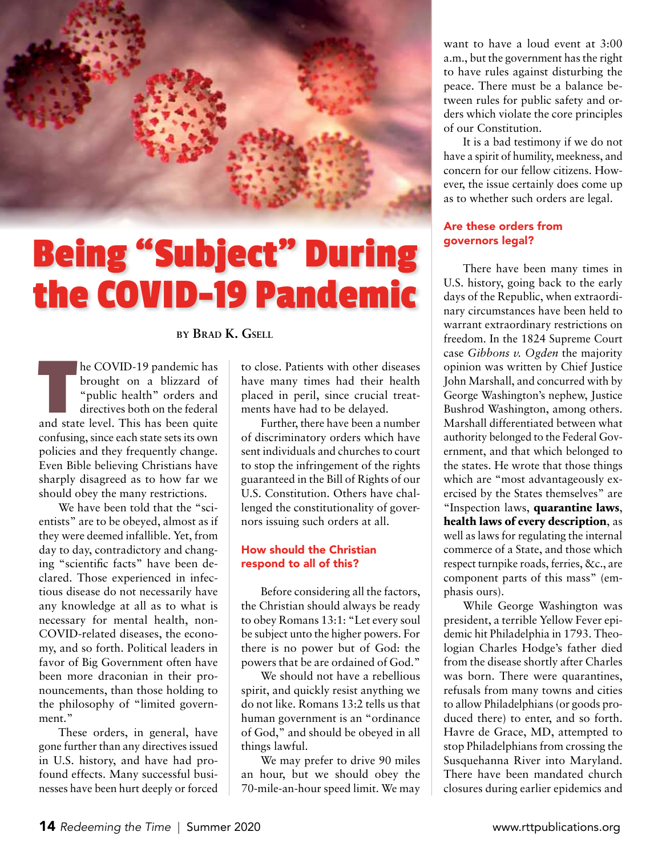

# **Being "Subject" During the COVID-19 Pandemic**

**by Brad K. Gsell**

**THEONID-19 pandemic has**<br>
brought on a blizzard of<br>
"public health" orders and<br>
directives both on the federal<br>
and state level. This has been quite brought on a blizzard of "public health" orders and directives both on the federal confusing, since each state sets its own policies and they frequently change. Even Bible believing Christians have sharply disagreed as to how far we should obey the many restrictions.

We have been told that the "scientists" are to be obeyed, almost as if they were deemed infallible. Yet, from day to day, contradictory and changing "scientific facts" have been declared. Those experienced in infectious disease do not necessarily have any knowledge at all as to what is necessary for mental health, non-COVID-related diseases, the economy, and so forth. Political leaders in favor of Big Government often have been more draconian in their pronouncements, than those holding to the philosophy of "limited government."

These orders, in general, have gone further than any directives issued in U.S. history, and have had profound effects. Many successful businesses have been hurt deeply or forced to close. Patients with other diseases have many times had their health placed in peril, since crucial treatments have had to be delayed.

Further, there have been a number of discriminatory orders which have sent individuals and churches to court to stop the infringement of the rights guaranteed in the Bill of Rights of our U.S. Constitution. Others have challenged the constitutionality of governors issuing such orders at all.

#### How should the Christian respond to all of this?

Before considering all the factors, the Christian should always be ready to obey Romans 13:1: "Let every soul be subject unto the higher powers. For there is no power but of God: the powers that be are ordained of God."

We should not have a rebellious spirit, and quickly resist anything we do not like. Romans 13:2 tells us that human government is an "ordinance of God," and should be obeyed in all things lawful.

We may prefer to drive 90 miles an hour, but we should obey the 70-mile-an-hour speed limit. We may

want to have a loud event at 3:00 a.m., but the government has the right to have rules against disturbing the peace. There must be a balance between rules for public safety and orders which violate the core principles of our Constitution.

It is a bad testimony if we do not have a spirit of humility, meekness, and concern for our fellow citizens. However, the issue certainly does come up as to whether such orders are legal.

#### Are these orders from governors legal?

There have been many times in U.S. history, going back to the early days of the Republic, when extraordinary circumstances have been held to warrant extraordinary restrictions on freedom. In the 1824 Supreme Court case *Gibbons v. Ogden* the majority opinion was written by Chief Justice John Marshall, and concurred with by George Washington's nephew, Justice Bushrod Washington, among others. Marshall differentiated between what authority belonged to the Federal Government, and that which belonged to the states. He wrote that those things which are "most advantageously exercised by the States themselves" are "Inspection laws, **quarantine laws**, **health laws of every description**, as well as laws for regulating the internal commerce of a State, and those which respect turnpike roads, ferries, &c., are component parts of this mass" (emphasis ours).

While George Washington was president, a terrible Yellow Fever epidemic hit Philadelphia in 1793. Theologian Charles Hodge's father died from the disease shortly after Charles was born. There were quarantines, refusals from many towns and cities to allow Philadelphians (or goods produced there) to enter, and so forth. Havre de Grace, MD, attempted to stop Philadelphians from crossing the Susquehanna River into Maryland. There have been mandated church closures during earlier epidemics and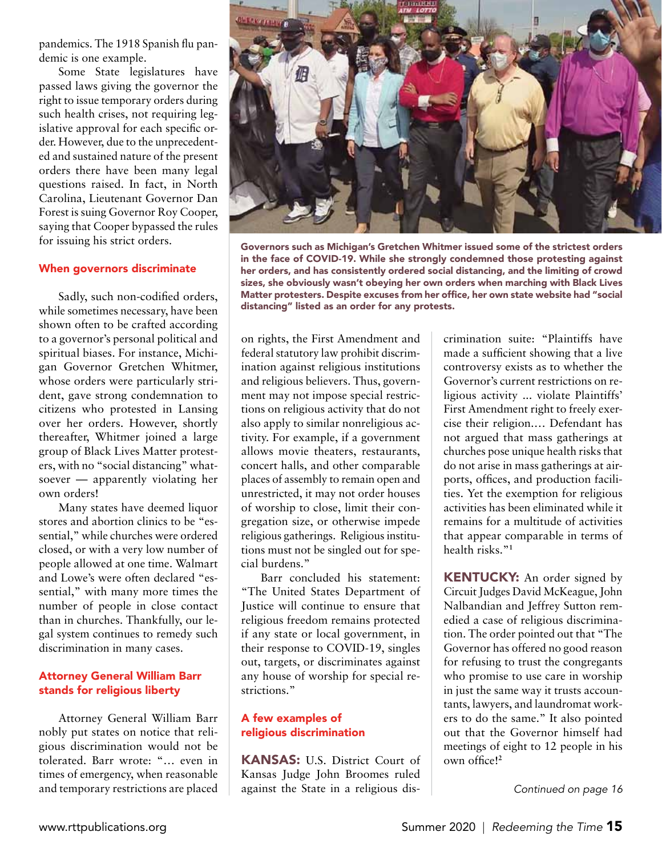pandemics. The 1918 Spanish flu pandemic is one example.

Some State legislatures have passed laws giving the governor the right to issue temporary orders during such health crises, not requiring legislative approval for each specific order. However, due to the unprecedented and sustained nature of the present orders there have been many legal questions raised. In fact, in North Carolina, Lieutenant Governor Dan Forest is suing Governor Roy Cooper, saying that Cooper bypassed the rules for issuing his strict orders.

#### When governors discriminate

Sadly, such non-codified orders, while sometimes necessary, have been shown often to be crafted according to a governor's personal political and spiritual biases. For instance, Michigan Governor Gretchen Whitmer, whose orders were particularly strident, gave strong condemnation to citizens who protested in Lansing over her orders. However, shortly thereafter, Whitmer joined a large group of Black Lives Matter protesters, with no "social distancing" whatsoever — apparently violating her own orders!

Many states have deemed liquor stores and abortion clinics to be "essential," while churches were ordered closed, or with a very low number of people allowed at one time. Walmart and Lowe's were often declared "essential," with many more times the number of people in close contact than in churches. Thankfully, our legal system continues to remedy such discrimination in many cases.

#### Attorney General William Barr stands for religious liberty

Attorney General William Barr nobly put states on notice that religious discrimination would not be tolerated. Barr wrote: "… even in times of emergency, when reasonable and temporary restrictions are placed



Governors such as Michigan's Gretchen Whitmer issued some of the strictest orders in the face of COVID-19. While she strongly condemned those protesting against her orders, and has consistently ordered social distancing, and the limiting of crowd sizes, she obviously wasn't obeying her own orders when marching with Black Lives Matter protesters. Despite excuses from her office, her own state website had "social distancing" listed as an order for any protests.

on rights, the First Amendment and federal statutory law prohibit discrimination against religious institutions and religious believers. Thus, government may not impose special restrictions on religious activity that do not also apply to similar nonreligious activity. For example, if a government allows movie theaters, restaurants, concert halls, and other comparable places of assembly to remain open and unrestricted, it may not order houses of worship to close, limit their congregation size, or otherwise impede religious gatherings. Religious institutions must not be singled out for special burdens."

Barr concluded his statement: "The United States Department of Justice will continue to ensure that religious freedom remains protected if any state or local government, in their response to COVID-19, singles out, targets, or discriminates against any house of worship for special restrictions."

#### A few examples of religious discrimination

KANSAS: U.S. District Court of Kansas Judge John Broomes ruled against the State in a religious dis-

crimination suite: "Plaintiffs have made a sufficient showing that a live controversy exists as to whether the Governor's current restrictions on religious activity ... violate Plaintiffs' First Amendment right to freely exercise their religion.… Defendant has not argued that mass gatherings at churches pose unique health risks that do not arise in mass gatherings at airports, offices, and production facilities. Yet the exemption for religious activities has been eliminated while it remains for a multitude of activities that appear comparable in terms of health risks."**<sup>1</sup>**

**KENTUCKY:** An order signed by Circuit Judges David McKeague, John Nalbandian and Jeffrey Sutton remedied a case of religious discrimination. The order pointed out that "The Governor has offered no good reason for refusing to trust the congregants who promise to use care in worship in just the same way it trusts accountants, lawyers, and laundromat workers to do the same." It also pointed out that the Governor himself had meetings of eight to 12 people in his own office!**<sup>2</sup>**